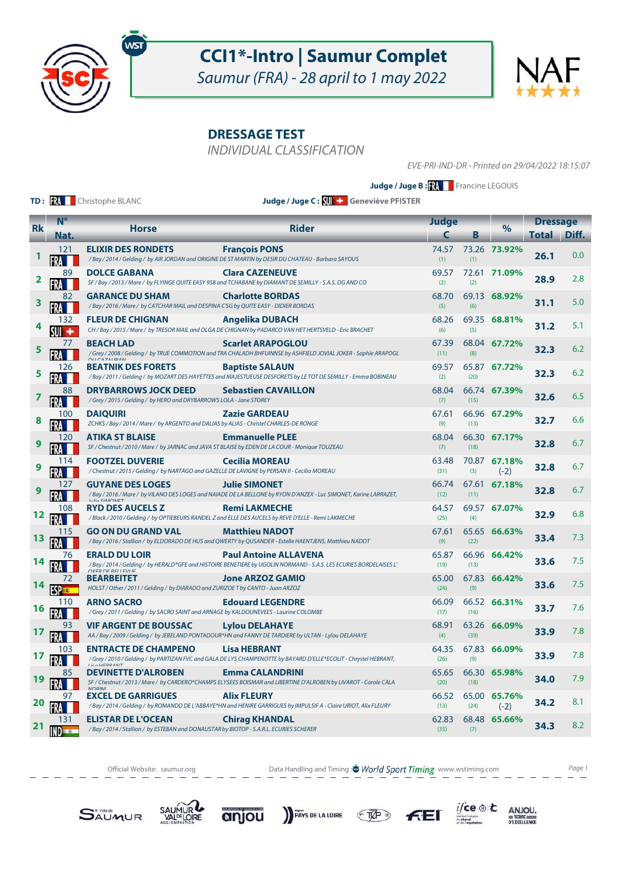

Saumur (FRA) - 28 april to 1 may 2022

**DRESSAGE TEST**

INDIVIDUAL CLASSIFICATION

EVE-PRI-IND-DR - Printed on 29/04/2022 18:15:07

**Judge / Juge B : XX** Francine LEGOUIS

**TD: RA** Christophe BLANC

**Judge / Juge C : Geneviève PFISTER**

|           | $N^{\circ}$    |                                                                                                                                                                                       |                                                                                                                                                                           | <b>Judge</b>  |      |                        | <b>Dressage</b> |       |
|-----------|----------------|---------------------------------------------------------------------------------------------------------------------------------------------------------------------------------------|---------------------------------------------------------------------------------------------------------------------------------------------------------------------------|---------------|------|------------------------|-----------------|-------|
| <b>Rk</b> | Nat.           | <b>Horse</b>                                                                                                                                                                          | <b>Rider</b>                                                                                                                                                              | C             | В    | $\%$                   | Total           | Diff. |
|           | 121            | <b>ELIXIR DES RONDETS</b>                                                                                                                                                             | <b>Francois PONS</b><br>/Bay / 2014 / Gelding / by AIR JORDAN and ORIGINE DE ST MARTIN by DESIR DU CHATEAU - Barbara SAYOUS                                               | 74.57<br>(1)  | (1)  | 73.26 73.92%           | 26.1            | 0.0   |
| 2         | 89             | <b>DOLCE GABANA</b>                                                                                                                                                                   | 69.57<br>72.61 71.09%<br><b>Clara CAZENEUVE</b><br>SF / Bay / 2013 / Mare / by FLYINGE QUITE EASY 958 and TCHABANE by DIAMANT DE SEMILLY - S.A.S. DG AND CO<br>(2)<br>(2) |               |      |                        |                 | 2.8   |
| 3         | 82             | <b>GARANCE DU SHAM</b><br>/Bay / 2016 / Mare / by CATCHAR MAIL and DESPINA C'SG by QUITE EASY - DIDIER BORDAS                                                                         | <b>Charlotte BORDAS</b>                                                                                                                                                   | 68.70<br>(5)  | (6)  | 69.13 68.92%           | 31.1            | 5.0   |
|           | 132            | <b>FLEUR DE CHIGNAN</b>                                                                                                                                                               | <b>Angelika DUBACH</b><br>CH / Bay / 2015 / Mare / by TRESOR MAIL and OLGA DE CHIGNAN by PADARCO VAN HET HERTSVELD - Eric BRACHET                                         | 68.26<br>(6)  | (5)  | 69.35 68.81%           | 31.2            | 5.1   |
| 5         | 77             | <b>BEACH LAD</b><br><b>Scarlet ARAPOGLOU</b><br>/Grey/2008/Gelding/by TRUE COMMOTION and TRA CHALADH BHFUINNSE by ASHFIELD JOVIAL JOKER - Sophie ARAPOGL                              |                                                                                                                                                                           | 67.39<br>(11) | (8)  | 68.04 67.72%           | 32.3            | 6.2   |
| 5         | 126            | <b>BEATNIK DES FORETS</b>                                                                                                                                                             | <b>Baptiste SALAUN</b><br>/Bay / 2011 / Gelding / by MOZART DES HAYETTES and MAJESTUEUSE DESFORETS by LE TOT DE SEMILLY - Emma BOBINEAU                                   | 69.57<br>(2)  | (20) | 65.87 67.72%           | 32.3            | 6.2   |
| 7         | 88             | <b>DRYBARROWS JOCK DEED</b><br>/Grey / 2015 / Gelding / by HERO and DRYBARROWS LOLA - Jane STOREY                                                                                     | <b>Sebastien CAVAILLON</b>                                                                                                                                                | 68.04<br>(7)  | (15) | 66.74 67.39%           | 32.6            | 6.5   |
| 8         | 100<br>FRA     | <b>DAIQUIRI</b><br>ZCHKS / Bay / 2014 / Mare / by ARGENTO and DALIAS by ALIAS - Christel CHARLES-DE RONGÉ                                                                             | <b>Zazie GARDEAU</b>                                                                                                                                                      | 67.61<br>(9)  | (13) | 66.96 67.29%           | 32.7            | 6.6   |
|           | 120            | <b>ATIKA ST BLAISE</b><br>SF / Chestnut / 2010 / Mare / by JARNAC and JAVA ST BLAISE by EDEN DE LA COUR - Monique TOUZEAU                                                             | <b>Emmanuelle PLEE</b>                                                                                                                                                    | 68.04<br>(7)  | (18) | 66.30 67.17%           | 32.8            | 6.7   |
|           | 114            | <b>FOOTZEL DUVERIE</b><br>/ Chestnut / 2015 / Gelding / by NARTAGO and GAZELLE DE LAVIGNE by PERSAN II - Cecilia MOREAU                                                               | <b>Cecilia MOREAU</b>                                                                                                                                                     | 63.48<br>(31) | (3)  | 70.87 67.18%<br>$(-2)$ | 32.8            | 6.7   |
|           | 127            | <b>Julie SIMONET</b><br><b>GUYANE DES LOGES</b><br>/Bay / 2016 / Mare / by VILANO DES LOGES and NAIADE DE LA BELLONE by RYON D'ANZEX - Luc SIMONET, Karine LARRAZET,<br>$L/L$ CIMONET |                                                                                                                                                                           | 66.74<br>(12) | (11) | 67.61 67.18%           | 32.8            | 6.7   |
| 12        | 108            | <b>RYD DES AUCELS Z</b>                                                                                                                                                               | <b>Remi LAKMECHE</b><br>/Black / 2010 / Gelding / by OPTIEBEURS RANDEL Z and ELLE DES AUCELS by REVE D'ELLE - Remi LAKMECHE                                               | 64.57<br>(25) | (4)  | 69.57 67.07%           | 32.9            | 6.8   |
|           | 115            | <b>GO ON DU GRAND VAL</b>                                                                                                                                                             | <b>Matthieu NADOT</b><br>/ Bay / 2016 / Stallion / by ELDORADO DE HUS and QWERTY by QUSANDER - Estelle HAENTJENS, Matthieu NADOT                                          | 67.61<br>(9)  | (22) | 65.65 66.63%           | 33.4            | 7.3   |
|           | 76             | <b>ERALD DU LOIR</b><br><b>OYER DE RELLEVILE</b>                                                                                                                                      | <b>Paul Antoine ALLAVENA</b><br>/Bay / 2014 / Gelding / by HERALD*GFE and HISTOIRE BENETIERE by UGOLIN NORMAND - S.A.S. LES ECURIES BORDELAISES L'                        | 65.87<br>(19) | (13) | 66.96 66.42%           | 33.6            | 7.5   |
| 14        | 72             | <b>BEARBEITET</b><br>HOLST / Other / 2011 / Gelding / by DIARADO and ZURIZOE T by CANTO - Juan ARZOZ                                                                                  | <b>Jone ARZOZ GAMIO</b>                                                                                                                                                   | 65.00<br>(24) | (9)  | 67.83 66.42%           | 33.6            | 7.5   |
| 16        | 110            | <b>ARNO SACRO</b><br>/Grey / 2011 / Gelding / by SACRO SAINT and ARNAGE by KALDOUNEVEES - Laurine COLOMBE                                                                             | <b>Edouard LEGENDRE</b>                                                                                                                                                   | 66.09<br>(17) | (16) | 66.52 66.31%           | 33.7            | 7.6   |
|           | 93             | <b>VIF ARGENT DE BOUSSAC</b>                                                                                                                                                          | <b>Lylou DELAHAYE</b><br>AA / Bay / 2009 / Gelding / by JEBELAND PONTADOUR*HN and FANNY DE TARDIERE by ULTAN - Lylou DELAHAYE                                             | 68.91<br>(4)  | (39) | 63.26 66.09%           | 33.9            | 7.8   |
| 17        | 103            | <b>ENTRACTE DE CHAMPENO</b><br>Liea HEDDAMT                                                                                                                                           | <b>Lisa HEBRANT</b><br>/Grey / 2010 / Gelding / by PARTIZAN FVC and GALA DE LYS CHAMPENOTTE by BAYARD D'ELLE*ECOLIT - Chrystel HEBRANT,                                   | 64.35<br>(26) | (9)  | 67.83 66.09%           | 33.9            | 7.8   |
| 19        | 85             | <b>DEVINETTE D'ALROBEN</b><br><b>NIDDINII</b>                                                                                                                                         | <b>Emma CALANDRINI</b><br>SF / Chestnut / 2013 / Mare / by CARDERO*CHAMPS ELYSEES BOISMAR and LIBERTINE D'ALROBEN by LIVAROT - Carole CALA                                | 65.65<br>(20) | (18) | 66.30 65.98%           | 34.0            | 7.9   |
| 20        | 97             | <b>EXCEL DE GARRIGUES</b>                                                                                                                                                             | <b>Alix FLEURY</b><br>/ Bay / 2014 / Gelding / by ROMANDO DE L'ABBAYE*HN and HENIRE GARRIGUES by IMPULSIF A - Claire URIOT, Alix FLEURY                                   | 66.52<br>(13) | (24) | 65.00 65.76%<br>$(-2)$ | 34.2            | 8.1   |
|           | 131<br>ND TO H | <b>ELISTAR DE L'OCEAN</b><br>/Bay / 2014 / Stallion / by ESTEBAN and DONAUSTAR by BIOTOP - S.A.R.L. ECURIES SCHERER                                                                   | <b>Chirag KHANDAL</b>                                                                                                                                                     | 62.83<br>(35) | (7)  | 68.48 65.66%           | 34.3            | 8.2   |

Official Website: saumur.org **Data Handling and Timing : World Sport Timing** www.wstiming.com Page 1

PAYS DE LA LOIRE TAP

 $i$ /ce  $\circledast$  to

 $\underset{\text{D'EXCELLING}}{\text{ANJOU}}$ 





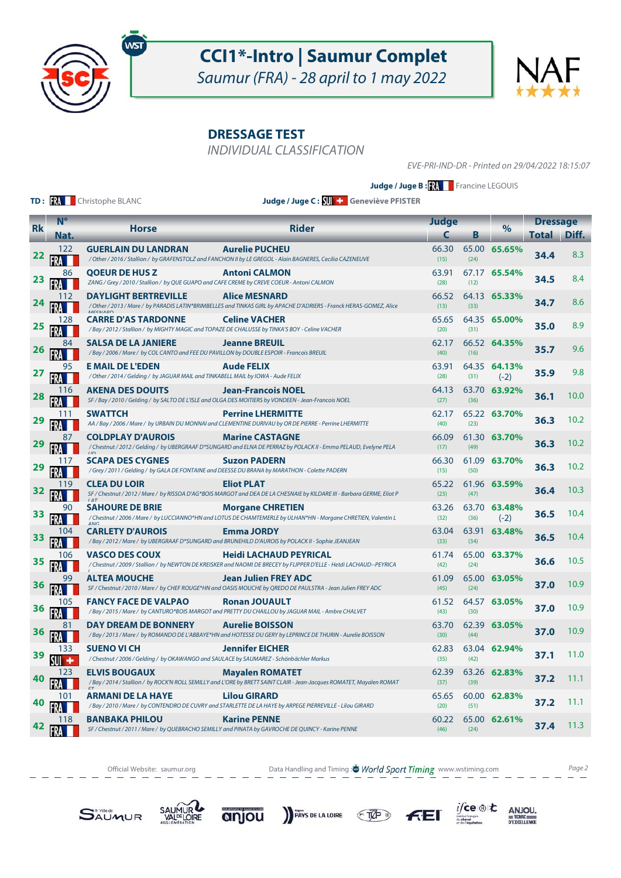

Saumur (FRA) - 28 april to 1 may 2022

**DRESSAGE TEST**

INDIVIDUAL CLASSIFICATION

EVE-PRI-IND-DR - Printed on 29/04/2022 18:15:07

**Judge / Juge B : XX** Francine LEGOUIS

**TD: RA** Christophe BLANC

**Judge / Juge C : Geneviève PFISTER**

|           | N <sup>o</sup> |                                                                                                                                 |                                                                                                                                                     | <b>Judge</b>  |      |                        | <b>Dressage</b> |       |
|-----------|----------------|---------------------------------------------------------------------------------------------------------------------------------|-----------------------------------------------------------------------------------------------------------------------------------------------------|---------------|------|------------------------|-----------------|-------|
| <b>Rk</b> | Nat.           | <b>Horse</b>                                                                                                                    | <b>Rider</b>                                                                                                                                        | c             | В    | $\%$                   | Total           | Diff. |
| 22        | 122            | <b>GUERLAIN DU LANDRAN</b>                                                                                                      | <b>Aurelie PUCHEU</b><br>/ Other / 2016 / Stallion / by GRAFENSTOLZ and FANCHON II by LE GREGOL - Alain BAGNERES, Cecilia CAZENEUVE                 | 66.30<br>(15) | (24) | 65.00 65.65%           | 34.4            | 8.3   |
| 23        | 86             | <b>OOEUR DE HUS Z</b><br>ZANG / Grey / 2010 / Stallion / by QUE GUAPO and CAFE CREME by CREVE COEUR - Antoni CALMON             | <b>Antoni CALMON</b>                                                                                                                                | 63.91<br>(28) | (12) | 67.17 65.54%           | 34.5            | 8.4   |
| 24        | 112            | <b>DAYLIGHT BERTREVILLE</b><br><b>MECNADO</b>                                                                                   | <b>Alice MESNARD</b><br>/ Other / 2013 / Mare / by PARADIS LATIN*BRIMBELLES and TINKAS GIRL by APACHE D'ADRIERS - Franck HERAS-GOMEZ, Alice         | 66.52<br>(13) | (33) | 64.13 65.33%           | 34.7            | 8.6   |
| 25        | 128<br>FRA     | <b>CARRE D'AS TARDONNE</b><br>/ Bay / 2012 / Stallion / by MIGHTY MAGIC and TOPAZE DE CHALUSSE by TINKA'S BOY - Celine VACHER   | <b>Celine VACHER</b>                                                                                                                                | 65.65<br>(20) | (31) | 64.35 65.00%           | 35.0            | 8.9   |
| 26        | 84             | <b>SALSA DE LA JANIERE</b><br>/Bay / 2006 / Mare / by COL CANTO and FEE DU PAVILLON by DOUBLE ESPOIR - Francois BREUIL          | <b>Jeanne BREUIL</b>                                                                                                                                | 62.17<br>(40) | (16) | 66.52 64.35%           | 35.7            | 9.6   |
| 27        | 95<br>FRA      | <b>E MAIL DE L'EDEN</b><br>/Other/2014/Gelding/ by JAGUAR MAIL and TINKABELL MAIL by IOWA - Aude FELIX                          | <b>Aude FELIX</b>                                                                                                                                   | 63.91<br>(28) | (31) | 64.35 64.13%<br>$(-2)$ | 35.9            | 9.8   |
| 28        | 116            | <b>AKENA DES DOUITS</b><br>SF / Bay / 2010 / Gelding / by SALTO DE L'ISLE and OLGA DES MOITIERS by VONDEEN - Jean-Francois NOEL | <b>Jean-Francois NOEL</b>                                                                                                                           | 64.13<br>(27) | (36) | 63.70 63.92%           | 36.1            | 10.0  |
| 29        | 111            | <b>SWATTCH</b>                                                                                                                  | <b>Perrine LHERMITTE</b><br>AA / Bay / 2006 / Mare / by URBAIN DU MONNAI and CLEMENTINE DURIVAU by OR DE PIERRE - Perrine LHERMITTE                 | 62.17<br>(40) | (23) | 65.22 63.70%           | 36.3            | 10.2  |
| 29        | FRA            | <b>COLDPLAY D'AUROIS</b>                                                                                                        | <b>Marine CASTAGNE</b><br>/ Chestnut / 2012 / Gelding / by UBERGRAAF D*SUNGARD and ELNA DE PERRAZ by POLACK II - Emma PELAUD, Evelyne PELA          | 66.09<br>(17) | (49) | 61.30 63.70%           | 36.3            | 10.2  |
| 29        | 117            | <b>SCAPA DES CYGNES</b><br>/Grey/2011/Gelding/by GALA DE FONTAINE and DEESSE DU BRANA by MARATHON - Colette PADERN              | <b>Suzon PADERN</b>                                                                                                                                 | 66.30<br>(15) | (50) | 61.09 63.70%           | 36.3            | 10.2  |
| 32        | 119            | <b>CLEA DU LOIR</b>                                                                                                             | <b>Eliot PLAT</b><br>SF / Chestnut / 2012 / Mare / by RISSOA D'AG*BOIS MARGOT and DEA DE LA CHESNAIE by KILDARE III - Barbara GERME, Eliot P        | 65.22<br>(23) | (47) | 61.96 63.59%           | 36.4            | 10.3  |
| 33        | 90             | <b>SAHOURE DE BRIE</b>                                                                                                          | <b>Morgane CHRETIEN</b><br>/ Chestnut / 2006 / Mare / by LUCCIANNO*HN and LOTUS DE CHAMTEMERLE by ULHAN*HN - Morgane CHRETIEN, Valentin L           | 63.26<br>(32) | (36) | 63.70 63.48%<br>$(-2)$ | 36.5            | 10.4  |
| 33        | 104            | <b>CARLETY D'AUROIS</b>                                                                                                         | <b>Emma JORDY</b><br>/Bay/2012/Mare/ by UBERGRAAF D*SUNGARD and BRUNEHILD D'AUROIS by POLACK II - Sophie JEANJEAN                                   | 63.04<br>(33) | (34) | 63.91 63.48%           | 36.5            | 10.4  |
| 35        | 106            | <b>VASCO DES COUX</b>                                                                                                           | <b>Heidi LACHAUD PEYRICAL</b><br>/Chestnut / 2009 / Stallion / by NEWTON DE KREISKER and NAOMI DE BRECEY by FLIPPER D'ELLE - Hetdi LACHAUD--PEYRICA | 61.74<br>(42) | (24) | 65.00 63.37%           | 36.6            | 10.5  |
| 36        | 99             | <b>ALTEA MOUCHE</b>                                                                                                             | Jean Julien FREY ADC<br>SF / Chestnut / 2010 / Mare / by CHEF ROUGE*HN and OASIS MOUCHE by QREDO DE PAULSTRA - Jean Julien FREY ADC                 | 61.09<br>(45) | (24) | 65.00 63.05%           | 37.0            | 10.9  |
| 36        | 105            | <b>FANCY FACE DE VALPAO</b>                                                                                                     | <b>Ronan JOUAULT</b><br>/ Bay / 2015 / Mare / by CANTURO*BOIS MARGOT and PRETTY DU CHAILLOU by JAGUAR MAIL - Ambre CHALVET                          | 61.52<br>(43) | (30) | 64.57 63.05%           | 37.0            | 10.9  |
| 36        | 81             | <b>DAY DREAM DE BONNERY</b>                                                                                                     | <b>Aurelie BOISSON</b><br>/Bay/2013/Mare/ by ROMANDO DE L'ABBAYE*HN and HOTESSE DU GERY by LEPRINCE DE THURIN - Aurelie BOISSON                     | 63.70<br>(30) | (44) | 62.39 63.05%           | 37.0            | 10.9  |
| 39        | 133            | <b>SUENO VI CH</b><br>/ Chestnut / 2006 / Gelding / by OKAWANGO and SAULACE by SAUMAREZ - Schönbächler Markus                   | <b>Jennifer EICHER</b>                                                                                                                              | 62.83<br>(35) | (42) | 63.04 62.94%           | 37.1            | 11.0  |
| 40        |                | <b>ELVIS BOUGAUX</b>                                                                                                            | <b>Mayalen ROMATET</b><br>/Bay / 2014 / Stallion / by ROCK'N ROLL SEMILLY and L'ORE by BRETT SAINT CLAIR - Jean-Jacques ROMATET, Mayalen ROMAT      | 62.39<br>(37) | (39) | 63.26 62.83%           | 37.2            | 11.1  |
| 40        | 101            | <b>ARMANI DE LA HAYE</b>                                                                                                        | <b>Lilou GIRARD</b><br>/ Bay / 2010 / Mare / by CONTENDRO DE CUVRY and STARLETTE DE LA HAYE by ARPEGE PIERREVILLE - Lilou GIRARD                    | 65.65<br>(20) | (51) | 60.00 62.83%           | 37.2            | 11.1  |
| 42        | 118            | <b>BANBAKA PHILOU</b>                                                                                                           | <b>Karine PENNE</b><br>SF / Chestnut / 2011 / Mare / by QUEBRACHO SEMILLY and PINATA by GAVROCHE DE QUINCY - Karine PENNE                           | 60.22<br>(46) | (24) | 65.00 62.61%           | 37.4            | 11.3  |

Official Website: saumur.org **Data Handling and Timing : World Sport Timing** www.wstiming.com Page 2











 $i$ /ce  $\circledast$  to

 $\underset{\text{D'EXCELLING}}{\text{ANJOU}}$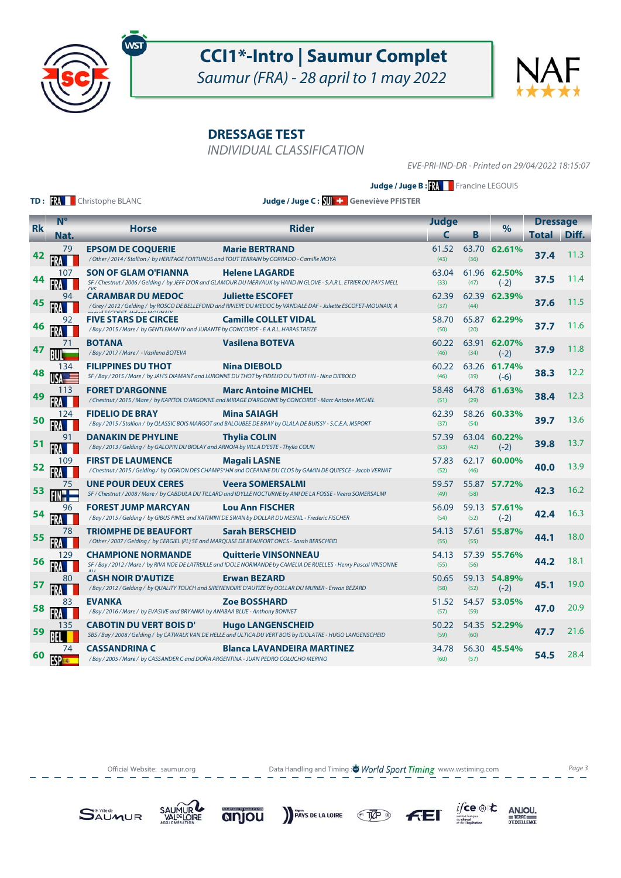

Saumur (FRA) - 28 april to 1 may 2022

**DRESSAGE TEST**

INDIVIDUAL CLASSIFICATION

EVE-PRI-IND-DR - Printed on 29/04/2022 18:15:07

**Judge / Juge B : XX** Francine LEGOUIS

**TD: RA** Christophe BLANC

**Judge / Juge C : Geneviève PFISTER**

| <b>Rk</b> | N <sup>o</sup>      |                                                                                                                                                                                                 | <b>Rider</b>                                                                                                                                                                              | <b>Judge</b>  |                  | $\%$                   | <b>Dressage</b> |       |
|-----------|---------------------|-------------------------------------------------------------------------------------------------------------------------------------------------------------------------------------------------|-------------------------------------------------------------------------------------------------------------------------------------------------------------------------------------------|---------------|------------------|------------------------|-----------------|-------|
|           | Nat.                | <b>Horse</b>                                                                                                                                                                                    |                                                                                                                                                                                           |               | Β                |                        | <b>Total</b>    | Diff. |
| 42        | 79                  | <b>EPSOM DE COQUERIE</b><br>/Other/2014/Stallion/by HERITAGE FORTUNUS and TOUT TERRAIN by CORRADO - Camille MOYA                                                                                | <b>Marie BERTRAND</b>                                                                                                                                                                     | 61.52<br>(43) | (36)             | 63.70 62.61%           | 37.4            | 11.3  |
| 44        | 107                 | <b>SON OF GLAM O'FIANNA</b>                                                                                                                                                                     | 63.04<br>61.96<br><b>Helene LAGARDE</b><br>62.50%<br>SF / Chestnut / 2006 / Gelding / by JEFF D'OR and GLAMOUR DU MERVAUX by HAND IN GLOVE - S.A.R.L. ETRIER DU PAYS MELL<br>(33)<br>(47) |               |                  |                        | 37.5            | 11.4  |
| 45        | 94                  | <b>CARAMBAR DU MEDOC</b>                                                                                                                                                                        | <b>Juliette ESCOFET</b><br>/ Grey / 2012 / Gelding / by ROSCO DE BELLEFOND and RIVIERE DU MEDOC by VANDALE DAF - Juliette ESCOFET-MOUNAIX, A<br>maud ESCOEET Halang MOUNAIV               | 62.39<br>(37) | 62.39<br>(44)    | 62.39%                 | 37.6            | 11.5  |
| 46        | 92                  | <b>FIVE STARS DE CIRCEE</b><br>/ Bay / 2015 / Mare / by GENTLEMAN IV and JURANTE by CONCORDE - E.A.R.L. HARAS TREIZE                                                                            | <b>Camille COLLET VIDAL</b>                                                                                                                                                               | 58.70<br>(50) | (20)             | 65.87 62.29%           | 37.7            | 11.6  |
| 47        |                     | <b>Vasilena BOTEVA</b><br><b>BOTANA</b><br>60.22<br>/Bay / 2017 / Mare / - Vasilena BOTEVA<br>(46)                                                                                              |                                                                                                                                                                                           | 63.91<br>(34) | 62.07%<br>$(-2)$ | 37.9                   | 11.8            |       |
| 48        | 134                 | <b>FILIPPINES DU THOT</b>                                                                                                                                                                       | <b>Nina DIEBOLD</b><br>SF / Bay / 2015 / Mare / by JAH'S DIAMANT and LURONNE DU THOT by FIDELIO DU THOT HN - Nina DIEBOLD                                                                 | 60.22<br>(46) | (39)             | 63.26 61.74%<br>$(-6)$ | 38.3            | 12.2  |
| 49        | 113                 | <b>FORET D'ARGONNE</b>                                                                                                                                                                          | <b>Marc Antoine MICHEL</b><br>/Chestnut / 2015 / Mare / by KAPITOL D'ARGONNE and MIRAGE D'ARGONNE by CONCORDE - Marc Antoine MICHEL                                                       | 58.48<br>(51) | (29)             | 64.78 61.63%           | 38.4            | 12.3  |
| 50        | 124                 | <b>FIDELIO DE BRAY</b><br>Mina SAIAGH<br>/ Bay / 2015 / Stallion / by QLASSIC BOIS MARGOT and BALOUBEE DE BRAY by OLALA DE BUISSY - S.C.E.A. MSPORT                                             |                                                                                                                                                                                           | 62.39<br>(37) | (54)             | 58.26 60.33%           | 39.7            | 13.6  |
| 51        | 91<br><b>FRA</b>    | <b>DANAKIN DE PHYLINE</b><br><b>Thylia COLIN</b><br>/ Bay / 2013 / Gelding / by GALOPIN DU BIOLAY and ARNOIA by VILLA D'ESTE - Thylia COLIN                                                     |                                                                                                                                                                                           | 57.39<br>(53) | 63.04<br>(42)    | 60.22%<br>$(-2)$       | 39.8            | 13.7  |
| 52        | 109                 | <b>FIRST DE LAUMENCE</b><br><b>Magali LASNE</b><br>/ Chestnut / 2015 / Gelding / by OGRION DES CHAMPS*HN and OCEANNE DU CLOS by GAMIN DE QUIESCE - Jacob VERNAT                                 |                                                                                                                                                                                           | 57.83<br>(52) | 62.17<br>(46)    | 60.00%                 | 40.0            | 13.9  |
| 53        | 75                  | <b>UNE POUR DEUX CERES</b><br><b>Veera SOMERSALMI</b><br>SF / Chestnut / 2008 / Mare / by CABDULA DU TILLARD and IDYLLE NOCTURNE by AMI DE LA FOSSE - Veera SOMERSALMI                          |                                                                                                                                                                                           | 59.57<br>(49) | (58)             | 55.87 57.72%           | 42.3            | 16.2  |
| 54        | 96                  | FOREST JUMP MARCYAN<br>/ Bay / 2015 / Gelding / by GIBUS PINEL and KATIMINI DE SWAN by DOLLAR DU MESNIL - Frederic FISCHER                                                                      | <b>Lou Ann FISCHER</b>                                                                                                                                                                    | 56.09<br>(54) | (52)             | 59.13 57.61%<br>$(-2)$ | 42.4            | 16.3  |
| 55        | 78                  | <b>TRIOMPHE DE BEAUFORT</b><br>/Other / 2007 / Gelding / by CERGIEL (PL) SE and MARQUISE DE BEAUFORT ONCS - Sarah BERSCHEID                                                                     | <b>Sarah BERSCHEID</b>                                                                                                                                                                    | 54.13<br>(55) | (55)             | 57.61 55.87%           | 44.1            | 18.0  |
| 56        | 129                 | <b>CHAMPIONE NORMANDE</b><br><b>Quitterie VINSONNEAU</b><br>54.13<br>SF / Bay / 2012 / Mare / by RIVA NOE DE LATREILLE and IDOLE NORMANDE by CAMELIA DE RUELLES - Henry Pascal VINSONNE<br>(55) |                                                                                                                                                                                           | (56)          | 57.39 55.76%     | 44.2                   | 18.1            |       |
| 57        | 80                  | <b>CASH NOIR D'AUTIZE</b>                                                                                                                                                                       | <b>Erwan BEZARD</b><br>/Bay/2012/Gelding/by QUALITY TOUCH and SIRENENOIRE D'AUTIZE by DOLLAR DU MURIER - Erwan BEZARD                                                                     | 50.65<br>(58) | 59.13<br>(52)    | 54.89%<br>$(-2)$       | 45.1            | 19.0  |
| 58        | 83                  | <b>EVANKA</b><br>/Bay / 2016 / Mare / by EVASIVE and BRYANKA by ANABAA BLUE - Anthony BONNET                                                                                                    | <b>Zoe BOSSHARD</b>                                                                                                                                                                       | 51.52<br>(57) | (59)             | 54.57 53.05%           | 47.0            | 20.9  |
| 59        | 135                 | <b>CABOTIN DU VERT BOIS D'</b>                                                                                                                                                                  | <b>Hugo LANGENSCHEID</b><br>SBS / Bay / 2008 / Gelding / by CATWALK VAN DE HELLE and ULTICA DU VERT BOIS by IDOLATRE - HUGO LANGENSCHEID                                                  | 50.22<br>(59) | (60)             | 54.35 52.29%           | 47.7            | 21.6  |
| 60        | 74<br><b>FSP 33</b> | <b>CASSANDRINA C</b><br>/ Bay / 2005 / Mare / by CASSANDER C and DOÑA ARGENTINA - JUAN PEDRO COLUCHO MERINO                                                                                     | <b>Blanca LAVANDEIRA MARTINEZ</b>                                                                                                                                                         | 34.78<br>(60) | (57)             | 56.30 45.54%           | 54.5            | 28.4  |

Official Website: saumur.org **Data Handling and Timing : World Sport Timing** www.wstiming.com Page 3











 $i$ /ce  $\circledast$  to

 $\underset{\text{D'EXCELLING}}{\text{ANJOU}}$